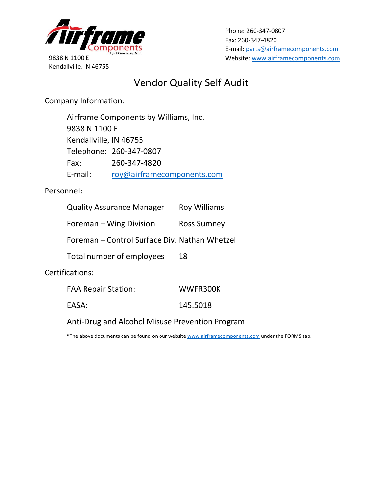

9838 N 1100 E Kendallville, IN 46755 Phone: 260-347-0807 Fax: 260-347-4820 E-mail: [parts@airframecomponents.com](mailto:parts@airframecomponents.com) Website[: www.airframecomponents.com](http://www.airframecomponents.com/)

## Vendor Quality Self Audit

Company Information:

Airframe Components by Williams, Inc. 9838 N 1100 E Kendallville, IN 46755 Telephone: 260-347-0807 Fax: 260-347-4820 E-mail: [roy@airframecomponents.com](mailto:roy@airframecomponents.com)

Personnel:

| <b>Quality Assurance Manager</b>              | <b>Roy Williams</b> |
|-----------------------------------------------|---------------------|
| Foreman – Wing Division                       | Ross Sumney         |
| Foreman - Control Surface Div. Nathan Whetzel |                     |
| Total number of employees                     | 18                  |
| Certifications:                               |                     |

| <b>FAA Repair Station:</b> | WWFR300K |  |
|----------------------------|----------|--|
| EASA:                      | 145.5018 |  |

Anti-Drug and Alcohol Misuse Prevention Program

\*The above documents can be found on our websit[e www.airframecomponents.com](http://www.airframecomponents.com/) under the FORMS tab.